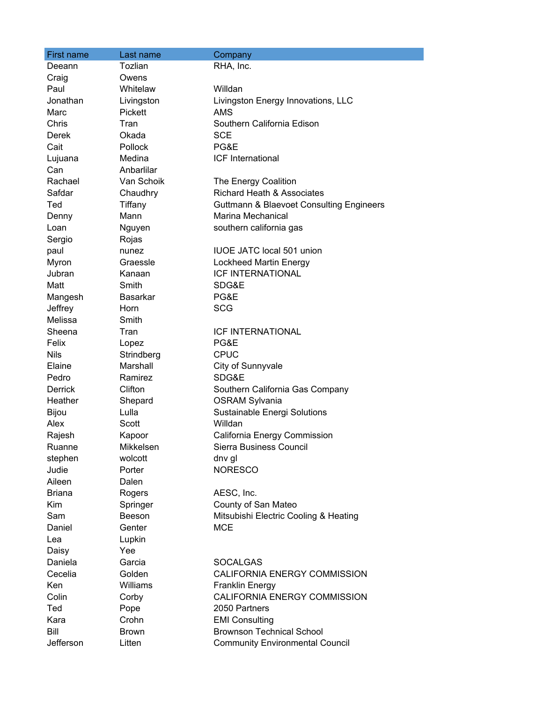| First name     | Last name       | Company                                             |
|----------------|-----------------|-----------------------------------------------------|
| Deeann         | Tozlian         | RHA, Inc.                                           |
| Craig          | Owens           |                                                     |
| Paul           | Whitelaw        | Willdan                                             |
| Jonathan       | Livingston      | Livingston Energy Innovations, LLC                  |
| Marc           | Pickett         | AMS                                                 |
| Chris          | Tran            | Southern California Edison                          |
| Derek          | Okada           | <b>SCE</b>                                          |
| Cait           | <b>Pollock</b>  | PG&E                                                |
| Lujuana        | Medina          | <b>ICF</b> International                            |
| Can            | Anbarlilar      |                                                     |
| Rachael        | Van Schoik      | The Energy Coalition                                |
| Safdar         | Chaudhry        | Richard Heath & Associates                          |
| Ted            | Tiffany         | <b>Guttmann &amp; Blaevoet Consulting Engineers</b> |
| Denny          | Mann            | Marina Mechanical                                   |
| Loan           | Nguyen          | southern california gas                             |
| Sergio         | Rojas           |                                                     |
| paul           | nunez           | <b>IUOE JATC local 501 union</b>                    |
| Myron          | Graessle        | <b>Lockheed Martin Energy</b>                       |
| Jubran         | Kanaan          | <b>ICF INTERNATIONAL</b>                            |
| Matt           | Smith           | SDG&E                                               |
| Mangesh        | <b>Basarkar</b> | PG&E                                                |
| Jeffrey        | <b>Horn</b>     | <b>SCG</b>                                          |
| Melissa        | Smith           |                                                     |
| Sheena         | Tran            | <b>ICF INTERNATIONAL</b>                            |
| Felix          | Lopez           | PG&E                                                |
| <b>Nils</b>    | Strindberg      | <b>CPUC</b>                                         |
| Elaine         | Marshall        | City of Sunnyvale                                   |
| Pedro          | Ramirez         | SDG&E                                               |
| <b>Derrick</b> | Clifton         | Southern California Gas Company                     |
| Heather        | Shepard         | <b>OSRAM Sylvania</b>                               |
| <b>Bijou</b>   | Lulla           | Sustainable Energi Solutions                        |
| Alex           | Scott           | Willdan                                             |
| Rajesh         | Kapoor          | California Energy Commission                        |
| Ruanne         | Mikkelsen       | Sierra Business Council                             |
| stephen        | wolcott         | dny gl                                              |
| Judie          | Porter          | <b>NORESCO</b>                                      |
| Aileen         | Dalen           |                                                     |
| <b>Briana</b>  | Rogers          | AESC, Inc.                                          |
| Kim            | Springer        | County of San Mateo                                 |
| Sam            | Beeson          | Mitsubishi Electric Cooling & Heating               |
| Daniel         | Genter          | <b>MCE</b>                                          |
| Lea            | Lupkin          |                                                     |
| Daisy          | Yee             |                                                     |
| Daniela        | Garcia          | <b>SOCALGAS</b>                                     |
| Cecelia        | Golden          | CALIFORNIA ENERGY COMMISSION                        |
| Ken            | Williams        | <b>Franklin Energy</b>                              |
| Colin          | Corby           | CALIFORNIA ENERGY COMMISSION                        |
| Ted            | Pope            | 2050 Partners                                       |
| Kara           | Crohn           | <b>EMI Consulting</b>                               |
| Bill           | <b>Brown</b>    | <b>Brownson Technical School</b>                    |
| Jefferson      | Litten          | <b>Community Environmental Council</b>              |
|                |                 |                                                     |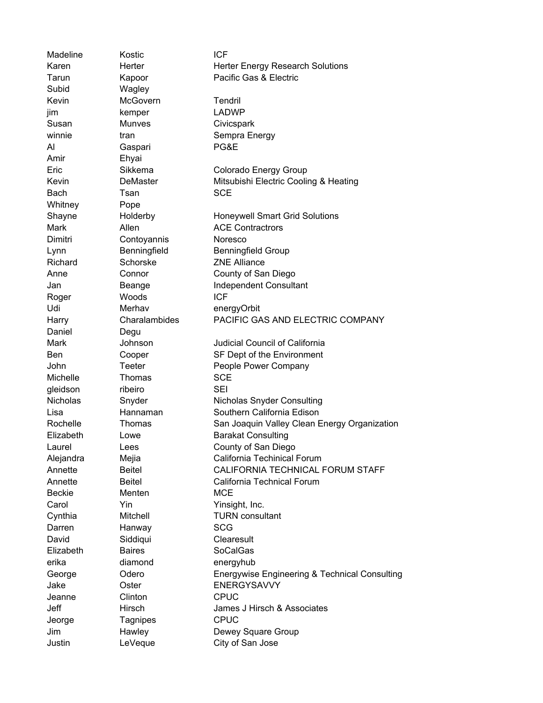Madeline Kostic **ICF** Karen **Herter** Herter Herter Energy Research Solutions Tarun **Kapoor** Pacific Gas & Electric Subid Wagley Kevin McGovern Tendril jim kemper LADWP Susan Munves Civicspark winnie tran tran Sempra Energy Al Gaspari PG&E Amir Ehyai Eric Sikkema Colorado Energy Group Kevin **DeMaster** Mitsubishi Electric Cooling & Heating Bach Tsan SCE Whitney Pope Shayne **Holderby** Honeywell Smart Grid Solutions Mark Allen Allen ACE Contractrors Dimitri Contoyannis Noresco Lynn Benningfield Benningfield Benningfield Group Richard Schorske ZNE Alliance Anne Connor County of San Diego Jan Beange Independent Consultant Roger Woods **ICF** Udi Merhav energyOrbit Harry Charalambides PACIFIC GAS AND ELECTRIC COMPANY Daniel Degu Mark **Johnson** Judicial Council of California Ben Cooper SF Dept of the Environment John Teeter People Power Company Michelle Thomas SCE gleidson ribeiro SEI Nicholas Snyder Nicholas Snyder Consulting Lisa Hannaman Southern California Edison Rochelle Thomas San Joaquin Valley Clean Energy Organization Elizabeth Lowe Barakat Consulting Laurel Lees County of San Diego Alejandra Mejia California Techinical Forum Annette Beitel CALIFORNIA TECHNICAL FORUM STAFF Annette Beitel California Technical Forum Beckie Menten MCE Carol **Yin** Yin Yinsight, Inc. Cynthia Mitchell TURN consultant Darren Hanway SCG David Siddiqui Clearesult Elizabeth Baires SoCalGas erika diamond energyhub George Odero Energywise Engineering & Technical Consulting Jake Oster ENERGYSAVVY Jeanne Clinton CPUC Jeff Hirsch James J Hirsch & Associates Jeorge Tagnipes CPUC Jim Hawley Dewey Square Group Justin LeVeque City of San Jose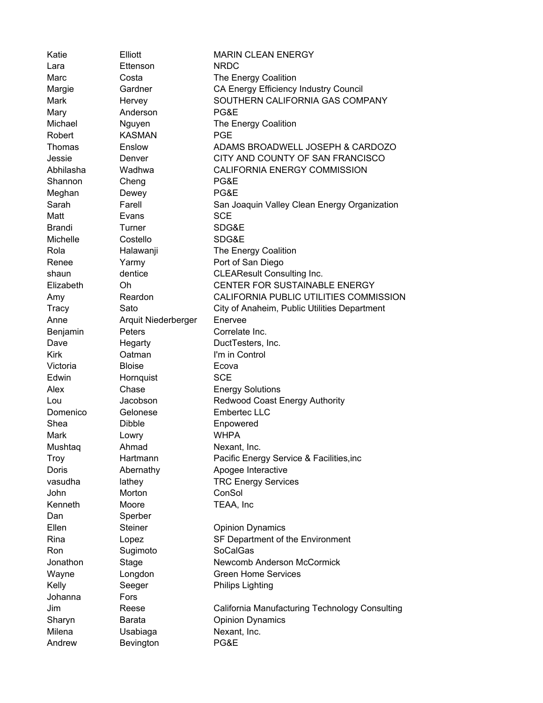| Katie         | Elliott             | <b>MARIN CLEAN ENERGY</b>                      |
|---------------|---------------------|------------------------------------------------|
| Lara          | Ettenson            | <b>NRDC</b>                                    |
| Marc          | Costa               | The Energy Coalition                           |
| Margie        | Gardner             | CA Energy Efficiency Industry Council          |
| Mark          | Hervey              | SOUTHERN CALIFORNIA GAS COMPANY                |
| Mary          | Anderson            | PG&E                                           |
| Michael       | Nguyen              | The Energy Coalition                           |
| Robert        | <b>KASMAN</b>       | <b>PGE</b>                                     |
| Thomas        | Enslow              | ADAMS BROADWELL JOSEPH & CARDOZO               |
| Jessie        | Denver              | CITY AND COUNTY OF SAN FRANCISCO               |
| Abhilasha     | Wadhwa              | CALIFORNIA ENERGY COMMISSION                   |
| Shannon       | Cheng               | PG&E                                           |
| Meghan        | Dewey               | PG&E                                           |
| Sarah         | Farell              | San Joaquin Valley Clean Energy Organization   |
| Matt          | Evans               | <b>SCE</b>                                     |
| <b>Brandi</b> | Turner              | SDG&E                                          |
| Michelle      | Costello            | SDG&E                                          |
| Rola          | Halawanji           | The Energy Coalition                           |
| Renee         | Yarmy               | Port of San Diego                              |
| shaun         | dentice             | <b>CLEAResult Consulting Inc.</b>              |
| Elizabeth     | Oh                  | CENTER FOR SUSTAINABLE ENERGY                  |
| Amy           | Reardon             | CALIFORNIA PUBLIC UTILITIES COMMISSION         |
| <b>Tracy</b>  | Sato                | City of Anaheim, Public Utilities Department   |
| Anne          | Arquit Niederberger | Enervee                                        |
| Benjamin      | Peters              | Correlate Inc.                                 |
| Dave          | Hegarty             | DuctTesters, Inc.                              |
| <b>Kirk</b>   | Oatman              | I'm in Control                                 |
| Victoria      | <b>Bloise</b>       | Ecova                                          |
| Edwin         | Hornquist           | <b>SCE</b>                                     |
| Alex          | Chase               | <b>Energy Solutions</b>                        |
| Lou           | Jacobson            | <b>Redwood Coast Energy Authority</b>          |
| Domenico      | Gelonese            | Embertec LLC                                   |
| Shea          | <b>Dibble</b>       | Enpowered                                      |
| Mark          | Lowry               | <b>WHPA</b>                                    |
| Mushtaq       | Ahmad               | Nexant, Inc.                                   |
| Troy          | Hartmann            | Pacific Energy Service & Facilities, inc       |
| Doris         | Abernathy           | Apogee Interactive                             |
| vasudha       | lathey              | <b>TRC Energy Services</b>                     |
| John          | Morton              | ConSol                                         |
| Kenneth       | Moore               | TEAA, Inc                                      |
| Dan           | Sperber             |                                                |
| Ellen         | <b>Steiner</b>      | <b>Opinion Dynamics</b>                        |
| Rina          | Lopez               | SF Department of the Environment               |
| Ron           | Sugimoto            | SoCalGas                                       |
| Jonathon      | Stage               | Newcomb Anderson McCormick                     |
| Wayne         | Longdon             | <b>Green Home Services</b>                     |
| Kelly         | Seeger              | <b>Philips Lighting</b>                        |
| Johanna       | Fors                |                                                |
| Jim           | Reese               | California Manufacturing Technology Consulting |
| Sharyn        | Barata              | <b>Opinion Dynamics</b>                        |
| Milena        | Usabiaga            | Nexant, Inc.                                   |
| Andrew        | Bevington           | PG&E                                           |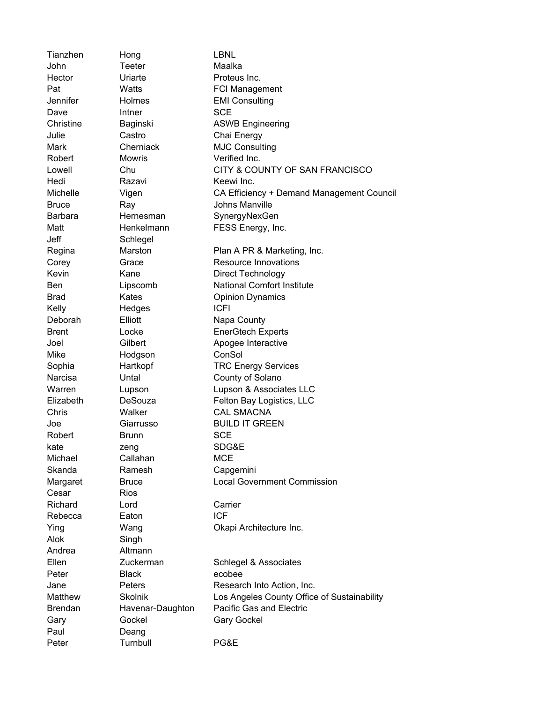| Tianzhen        | Hong                            | <b>LBNL</b>                                                             |
|-----------------|---------------------------------|-------------------------------------------------------------------------|
| John            | Teeter                          | Maalka                                                                  |
| Hector          | Uriarte                         | Proteus Inc.                                                            |
| Pat             | Watts                           | <b>FCI Management</b>                                                   |
| Jennifer        | Holmes                          | <b>EMI Consulting</b>                                                   |
| Dave            | Intner                          | <b>SCE</b>                                                              |
| Christine       | Baginski                        | <b>ASWB Engineering</b>                                                 |
| Julie           | Castro                          | Chai Energy                                                             |
| Mark            | Cherniack                       | <b>MJC Consulting</b>                                                   |
| Robert          | <b>Mowris</b>                   | Verified Inc.                                                           |
| Lowell          | Chu                             | CITY & COUNTY OF SAN FRANCISCO                                          |
| Hedi            | Razavi                          | Keewi Inc.                                                              |
| Michelle        | Vigen                           | CA Efficiency + Demand Management Council                               |
| <b>Bruce</b>    | Ray                             | Johns Manville                                                          |
| <b>Barbara</b>  | Hernesman                       | SynergyNexGen                                                           |
| Matt            | Henkelmann                      | FESS Energy, Inc.                                                       |
| Jeff            | Schlegel                        |                                                                         |
| Regina          | Marston                         | Plan A PR & Marketing, Inc.                                             |
| Corey           | Grace                           | <b>Resource Innovations</b>                                             |
| Kevin           | Kane                            | Direct Technology                                                       |
| <b>Ben</b>      | Lipscomb                        | <b>National Comfort Institute</b>                                       |
| Brad            | Kates                           | <b>Opinion Dynamics</b>                                                 |
| Kelly           | Hedges                          | <b>ICFI</b>                                                             |
| Deborah         | Elliott                         | Napa County                                                             |
| <b>Brent</b>    | Locke                           | <b>EnerGtech Experts</b>                                                |
| Joel            | Gilbert                         | Apogee Interactive                                                      |
| Mike            | Hodgson                         | ConSol                                                                  |
| Sophia          | Hartkopf                        | <b>TRC Energy Services</b>                                              |
| Narcisa         | Untal                           | County of Solano                                                        |
| Warren          | Lupson                          | Lupson & Associates LLC                                                 |
| Elizabeth       | DeSouza                         | Felton Bay Logistics, LLC                                               |
| Chris           | Walker                          | <b>CAL SMACNA</b>                                                       |
| Joe             | Giarrusso                       | <b>BUILD IT GREEN</b>                                                   |
| Robert          | <b>Brunn</b>                    | <b>SCE</b>                                                              |
| kate            | zeng                            | SDG&E                                                                   |
| Michael         | Callahan                        | <b>MCE</b>                                                              |
| Skanda          | Ramesh                          | Capgemini                                                               |
| Margaret        | <b>Bruce</b>                    | <b>Local Government Commission</b>                                      |
| Cesar           | <b>Rios</b>                     |                                                                         |
| Richard         | Lord                            | Carrier                                                                 |
| Rebecca         | Eaton                           | <b>ICF</b>                                                              |
| Ying            | Wang                            | Okapi Architecture Inc.                                                 |
| Alok            | Singh                           |                                                                         |
| Andrea          | Altmann                         |                                                                         |
| Ellen           | Zuckerman                       |                                                                         |
| Peter           | <b>Black</b>                    | Schlegel & Associates<br>ecobee                                         |
|                 |                                 |                                                                         |
| Jane<br>Matthew | <b>Peters</b><br><b>Skolnik</b> | Research Into Action, Inc.                                              |
|                 |                                 | Los Angeles County Office of Sustainability<br>Pacific Gas and Electric |
| <b>Brendan</b>  | Havenar-Daughton                |                                                                         |
| Gary            | Gockel                          | <b>Gary Gockel</b>                                                      |
| Paul            | Deang                           |                                                                         |
| Peter           | Turnbull                        | PG&E                                                                    |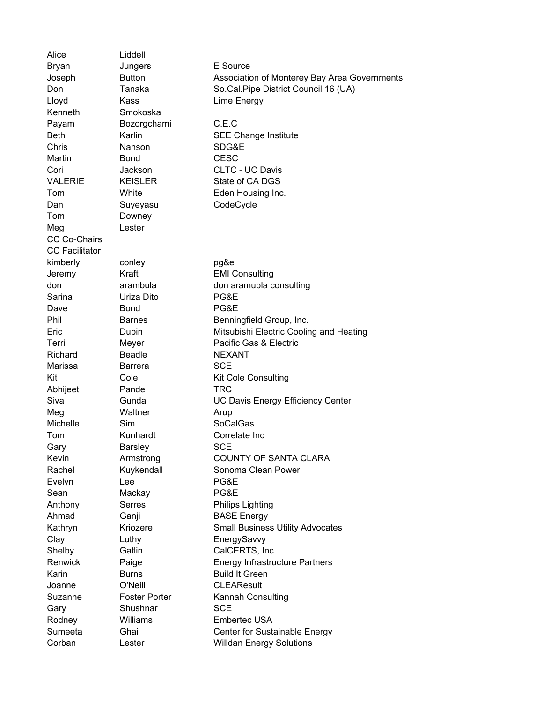Alice Liddell Bryan Jungers E Source Joseph Button Association of Monterey Bay Area Governments Don Tanaka So.Cal.Pipe District Council 16 (UA) Lloyd Kass Lime Energy Kenneth Smokoska Payam Bozorgchami C.E.C Beth Karlin SEE Change Institute Chris Nanson SDG&E Martin **Bond CESC** Cori Jackson CLTC - UC Davis VALERIE KEISLER State of CA DGS Tom White Eden Housing Inc. Dan Suyeyasu CodeCycle Tom Downey Meg Lester CC Co-Chairs CC Facilitator kimberly conley pg&e Jeremy Kraft EMI Consulting don arambula don aramubla consulting Sarina Uriza Dito PG&E Dave Bond **PG&E** Phil Barnes Benningfield Group, Inc. Eric Dubin Mitsubishi Electric Cooling and Heating Terri Meyer Pacific Gas & Electric Richard Beadle NEXANT Marissa Barrera SCE Kit Cole Cole Kit Cole Consulting Abhijeet Pande TRC Siva Gunda UC Davis Energy Efficiency Center Meg Waltner Arup Michelle Sim SoCalGas Tom Kunhardt Correlate Inc Gary Barsley SCE Kevin **Armstrong COUNTY OF SANTA CLARA** Rachel Kuykendall Sonoma Clean Power Evelyn Lee PG&E Sean Mackay PG&E Anthony Serres Philips Lighting Ahmad Ganji BASE Energy Kathryn Kriozere Small Business Utility Advocates Clay Luthy EnergySavvy Shelby Gatlin CalCERTS, Inc. Renwick Paige **Energy Infrastructure Partners** Karin **Burns** Burns Build It Green Joanne O'Neill CLEAResult Suzanne Foster Porter Kannah Consulting Gary Shushnar SCE Rodney Williams Embertec USA Sumeeta Ghai Center for Sustainable Energy Corban Lester Willdan Energy Solutions